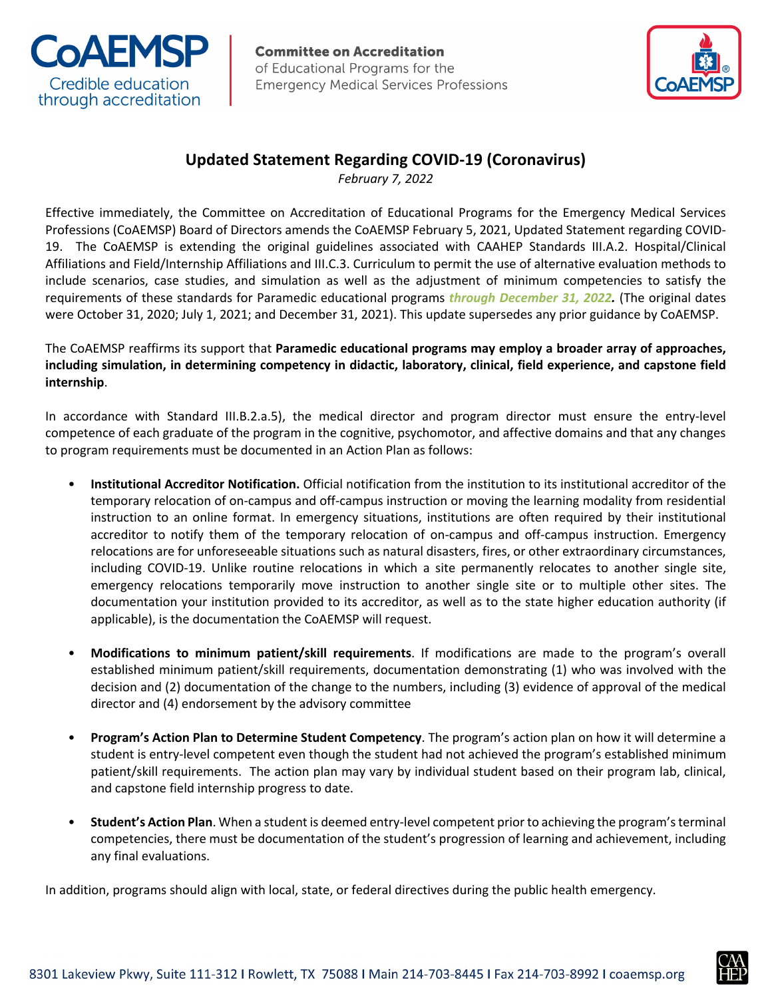



## **Updated Statement Regarding COVID-19 (Coronavirus)**

*February 7, 2022*

Effective immediately, the Committee on Accreditation of Educational Programs for the Emergency Medical Services Professions (CoAEMSP) Board of Directors amends the CoAEMSP February 5, 2021, Updated Statement regarding COVID-19. The CoAEMSP is extending the original guidelines associated with CAAHEP Standards III.A.2. Hospital/Clinical Affiliations and Field/Internship Affiliations and III.C.3. Curriculum to permit the use of alternative evaluation methods to include scenarios, case studies, and simulation as well as the adjustment of minimum competencies to satisfy the requirements of these standards for Paramedic educational programs *through December 31, 2022.* (The original dates were October 31, 2020; July 1, 2021; and December 31, 2021). This update supersedes any prior guidance by CoAEMSP.

The CoAEMSP reaffirms its support that **Paramedic educational programs may employ a broader array of approaches, including simulation, in determining competency in didactic, laboratory, clinical, field experience, and capstone field internship**.

In accordance with Standard III.B.2.a.5), the medical director and program director must ensure the entry-level competence of each graduate of the program in the cognitive, psychomotor, and affective domains and that any changes to program requirements must be documented in an Action Plan as follows:

- **Institutional Accreditor Notification.** Official notification from the institution to its institutional accreditor of the temporary relocation of on-campus and off-campus instruction or moving the learning modality from residential instruction to an online format. In emergency situations, institutions are often required by their institutional accreditor to notify them of the temporary relocation of on-campus and off-campus instruction. Emergency relocations are for unforeseeable situations such as natural disasters, fires, or other extraordinary circumstances, including COVID-19. Unlike routine relocations in which a site permanently relocates to another single site, emergency relocations temporarily move instruction to another single site or to multiple other sites. The documentation your institution provided to its accreditor, as well as to the state higher education authority (if applicable), is the documentation the CoAEMSP will request.
- **Modifications to minimum patient/skill requirements**. If modifications are made to the program's overall established minimum patient/skill requirements, documentation demonstrating (1) who was involved with the decision and (2) documentation of the change to the numbers, including (3) evidence of approval of the medical director and (4) endorsement by the advisory committee
- **Program's Action Plan to Determine Student Competency**. The program's action plan on how it will determine a student is entry-level competent even though the student had not achieved the program's established minimum patient/skill requirements. The action plan may vary by individual student based on their program lab, clinical, and capstone field internship progress to date.
- **Student's Action Plan**. When a student is deemed entry-level competent prior to achieving the program's terminal competencies, there must be documentation of the student's progression of learning and achievement, including any final evaluations.

In addition, programs should align with local, state, or federal directives during the public health emergency.